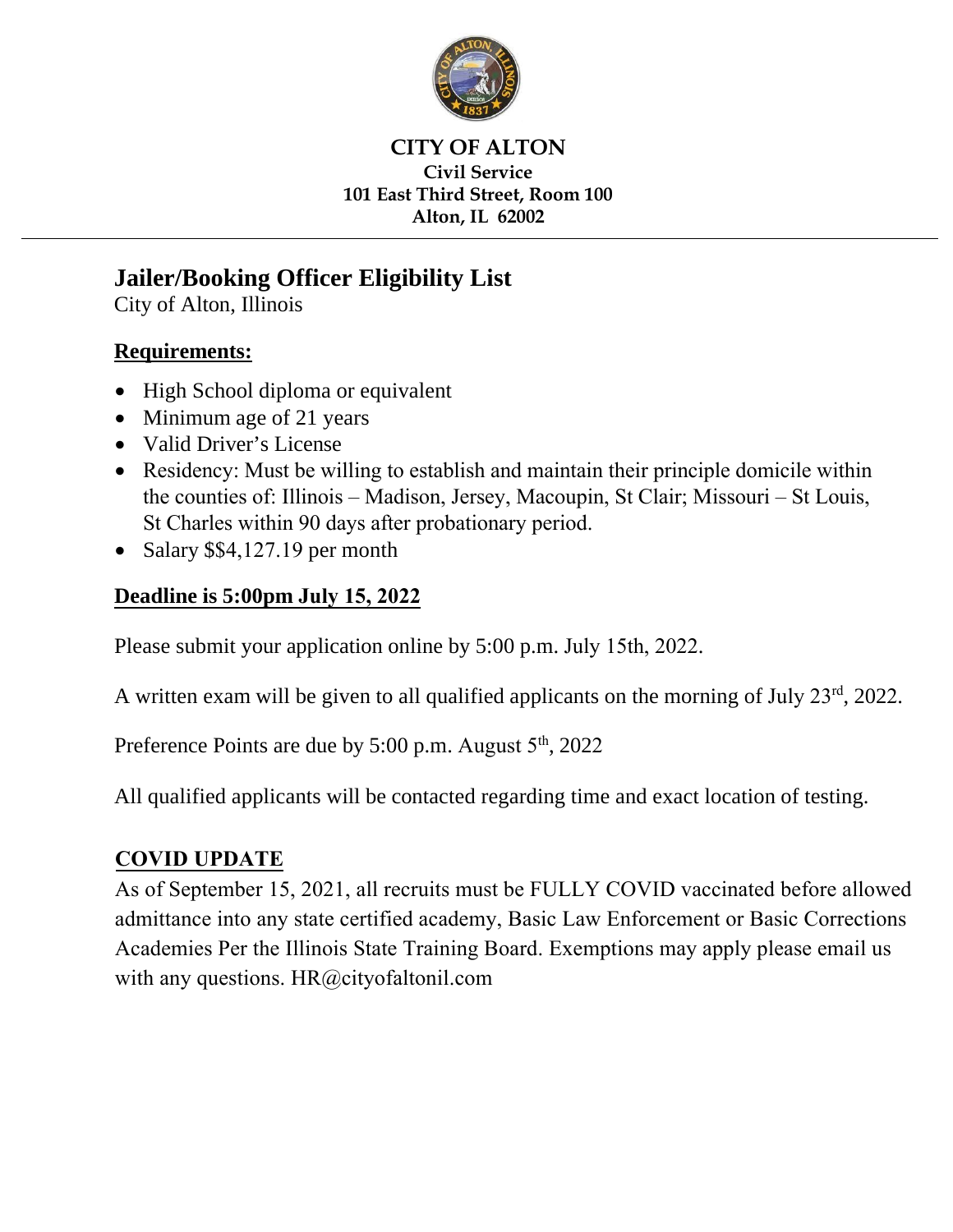

### **CITY OF ALTON Civil Service 101 East Third Street, Room 100 Alton, IL 62002**

# **Jailer/Booking Officer Eligibility List**

City of Alton, Illinois

## **Requirements:**

- High School diploma or equivalent
- Minimum age of 21 years
- Valid Driver's License
- Residency: Must be willing to establish and maintain their principle domicile within the counties of: Illinois – Madison, Jersey, Macoupin, St Clair; Missouri – St Louis, St Charles within 90 days after probationary period.
- Salary \$\$4,127.19 per month

## **Deadline is 5:00pm July 15, 2022**

Please submit your application online by 5:00 p.m. July 15th, 2022.

A written exam will be given to all qualified applicants on the morning of July 23<sup>rd</sup>, 2022.

Preference Points are due by 5:00 p.m. August 5<sup>th</sup>, 2022

All qualified applicants will be contacted regarding time and exact location of testing.

## **COVID UPDATE**

As of September 15, 2021, all recruits must be FULLY COVID vaccinated before allowed admittance into any state certified academy, Basic Law Enforcement or Basic Corrections Academies Per the Illinois State Training Board. Exemptions may apply please email us with any questions. HR@cityofaltonil.com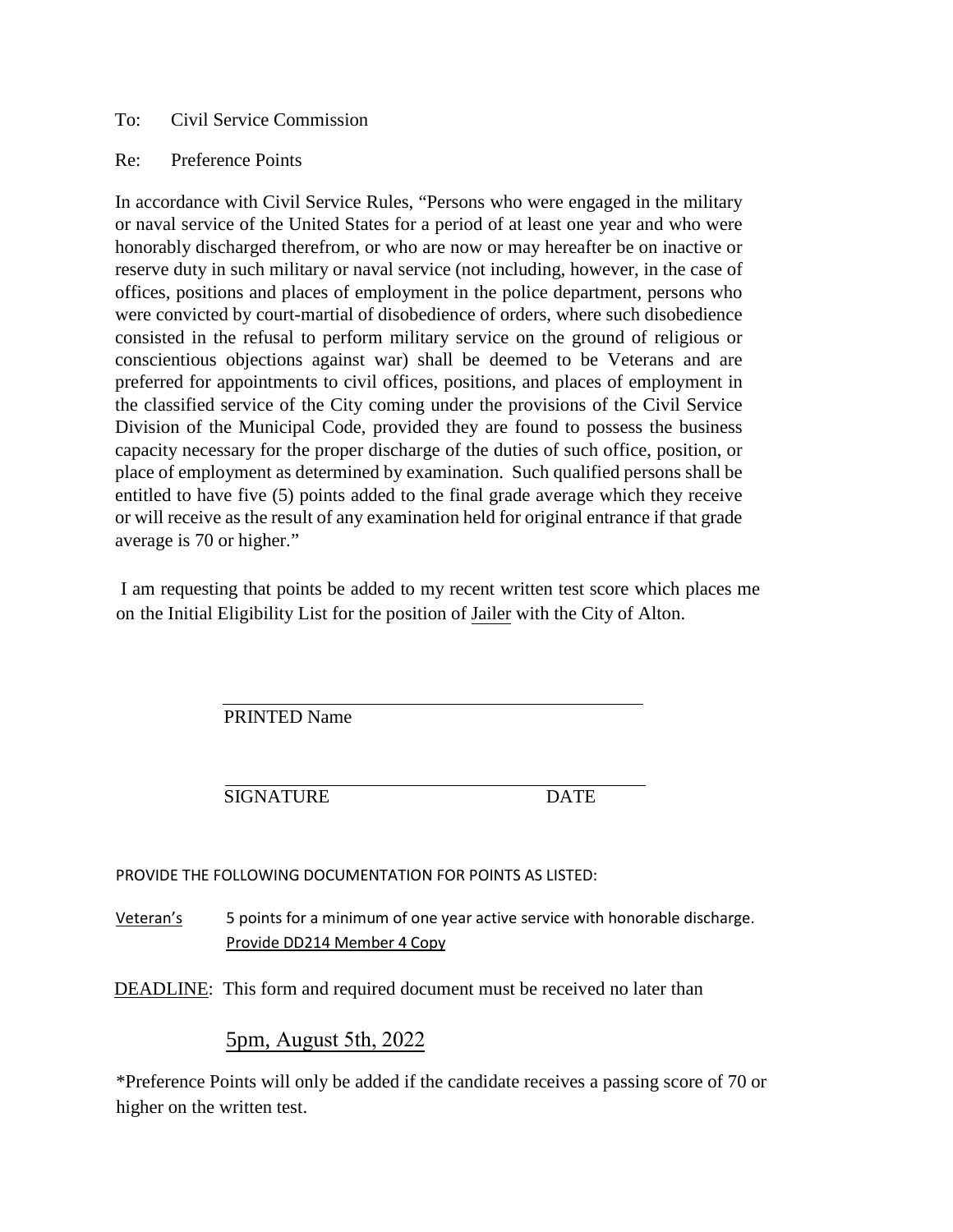#### To: Civil Service Commission

#### Re: Preference Points

In accordance with Civil Service Rules, "Persons who were engaged in the military or naval service of the United States for a period of at least one year and who were honorably discharged therefrom, or who are now or may hereafter be on inactive or reserve duty in such military or naval service (not including, however, in the case of offices, positions and places of employment in the police department, persons who were convicted by court-martial of disobedience of orders, where such disobedience consisted in the refusal to perform military service on the ground of religious or conscientious objections against war) shall be deemed to be Veterans and are preferred for appointments to civil offices, positions, and places of employment in the classified service of the City coming under the provisions of the Civil Service Division of the Municipal Code, provided they are found to possess the business capacity necessary for the proper discharge of the duties of such office, position, or place of employment as determined by examination. Such qualified persons shall be entitled to have five (5) points added to the final grade average which they receive or will receive as the result of any examination held for original entrance if that grade average is 70 or higher."

I am requesting that points be added to my recent written test score which places me on the Initial Eligibility List for the position of Jailer with the City of Alton.

PRINTED Name

SIGNATURE DATE

#### PROVIDE THE FOLLOWING DOCUMENTATION FOR POINTS AS LISTED:

Veteran's 5 points for a minimum of one year active service with honorable discharge. Provide DD214 Member 4 Copy

DEADLINE: This form and required document must be received no later than

#### 5pm, August 5th, 2022

\*Preference Points will only be added if the candidate receives a passing score of 70 or higher on the written test.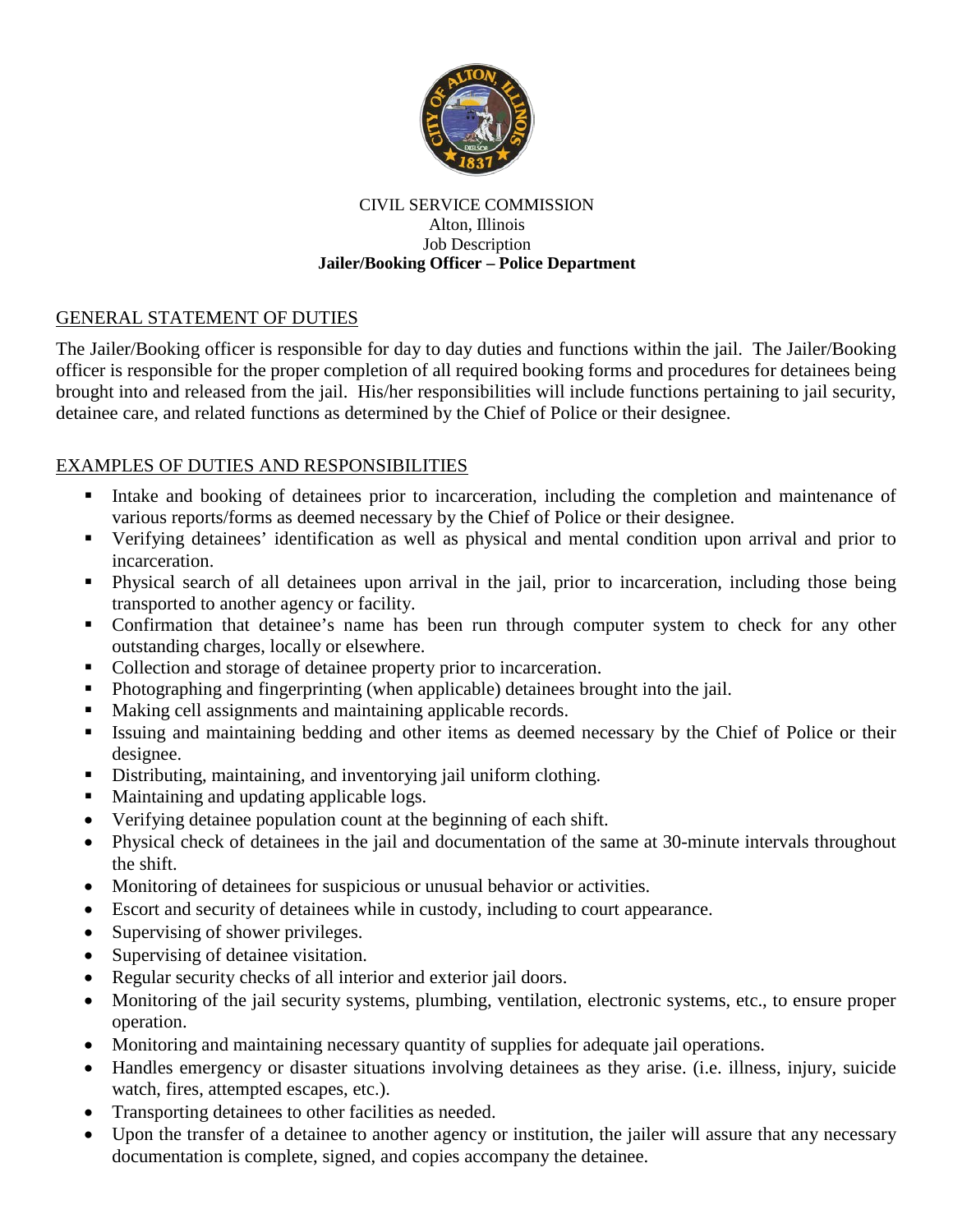

#### CIVIL SERVICE COMMISSION Alton, Illinois Job Description **Jailer/Booking Officer – Police Department**

### GENERAL STATEMENT OF DUTIES

The Jailer/Booking officer is responsible for day to day duties and functions within the jail. The Jailer/Booking officer is responsible for the proper completion of all required booking forms and procedures for detainees being brought into and released from the jail. His/her responsibilities will include functions pertaining to jail security, detainee care, and related functions as determined by the Chief of Police or their designee.

### EXAMPLES OF DUTIES AND RESPONSIBILITIES

- Intake and booking of detainees prior to incarceration, including the completion and maintenance of various reports/forms as deemed necessary by the Chief of Police or their designee.
- Verifying detainees' identification as well as physical and mental condition upon arrival and prior to incarceration.
- Physical search of all detainees upon arrival in the jail, prior to incarceration, including those being transported to another agency or facility.
- Confirmation that detainee's name has been run through computer system to check for any other outstanding charges, locally or elsewhere.
- Collection and storage of detainee property prior to incarceration.
- Photographing and fingerprinting (when applicable) detainees brought into the jail.
- Making cell assignments and maintaining applicable records.
- Issuing and maintaining bedding and other items as deemed necessary by the Chief of Police or their designee.
- Distributing, maintaining, and inventorying jail uniform clothing.
- Maintaining and updating applicable logs.
- Verifying detainee population count at the beginning of each shift.
- Physical check of detainees in the jail and documentation of the same at 30-minute intervals throughout the shift.
- Monitoring of detainees for suspicious or unusual behavior or activities.
- Escort and security of detainees while in custody, including to court appearance.
- Supervising of shower privileges.
- Supervising of detainee visitation.
- Regular security checks of all interior and exterior jail doors.
- Monitoring of the jail security systems, plumbing, ventilation, electronic systems, etc., to ensure proper operation.
- Monitoring and maintaining necessary quantity of supplies for adequate jail operations.
- Handles emergency or disaster situations involving detainees as they arise. (i.e. illness, injury, suicide watch, fires, attempted escapes, etc.).
- Transporting detainees to other facilities as needed.
- Upon the transfer of a detainee to another agency or institution, the jailer will assure that any necessary documentation is complete, signed, and copies accompany the detainee.